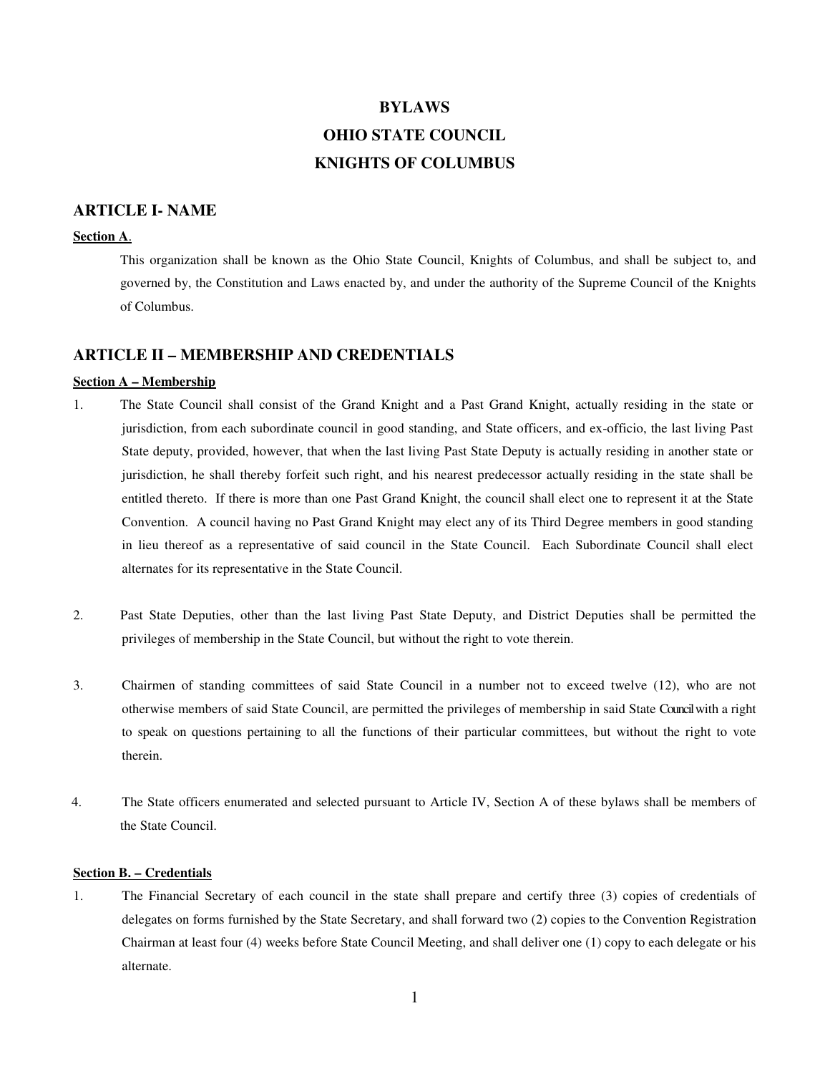# **BYLAWS OHIO STATE COUNCIL KNIGHTS OF COLUMBUS**

# **ARTICLE I- NAME**

#### **Section A**.

This organization shall be known as the Ohio State Council, Knights of Columbus, and shall be subject to, and governed by, the Constitution and Laws enacted by, and under the authority of the Supreme Council of the Knights of Columbus.

## **ARTICLE II – MEMBERSHIP AND CREDENTIALS**

#### **Section A – Membership**

- 1. The State Council shall consist of the Grand Knight and a Past Grand Knight, actually residing in the state or jurisdiction, from each subordinate council in good standing, and State officers, and ex-officio, the last living Past State deputy, provided, however, that when the last living Past State Deputy is actually residing in another state or jurisdiction, he shall thereby forfeit such right, and his nearest predecessor actually residing in the state shall be entitled thereto. If there is more than one Past Grand Knight, the council shall elect one to represent it at the State Convention. A council having no Past Grand Knight may elect any of its Third Degree members in good standing in lieu thereof as a representative of said council in the State Council. Each Subordinate Council shall elect alternates for its representative in the State Council.
- 2. Past State Deputies, other than the last living Past State Deputy, and District Deputies shall be permitted the privileges of membership in the State Council, but without the right to vote therein.
- 3. Chairmen of standing committees of said State Council in a number not to exceed twelve (12), who are not otherwise members of said State Council, are permitted the privileges of membership in said State Council with a right to speak on questions pertaining to all the functions of their particular committees, but without the right to vote therein.
- 4. The State officers enumerated and selected pursuant to Article IV, Section A of these bylaws shall be members of the State Council.

## **Section B. – Credentials**

1. The Financial Secretary of each council in the state shall prepare and certify three (3) copies of credentials of delegates on forms furnished by the State Secretary, and shall forward two (2) copies to the Convention Registration Chairman at least four (4) weeks before State Council Meeting, and shall deliver one (1) copy to each delegate or his alternate.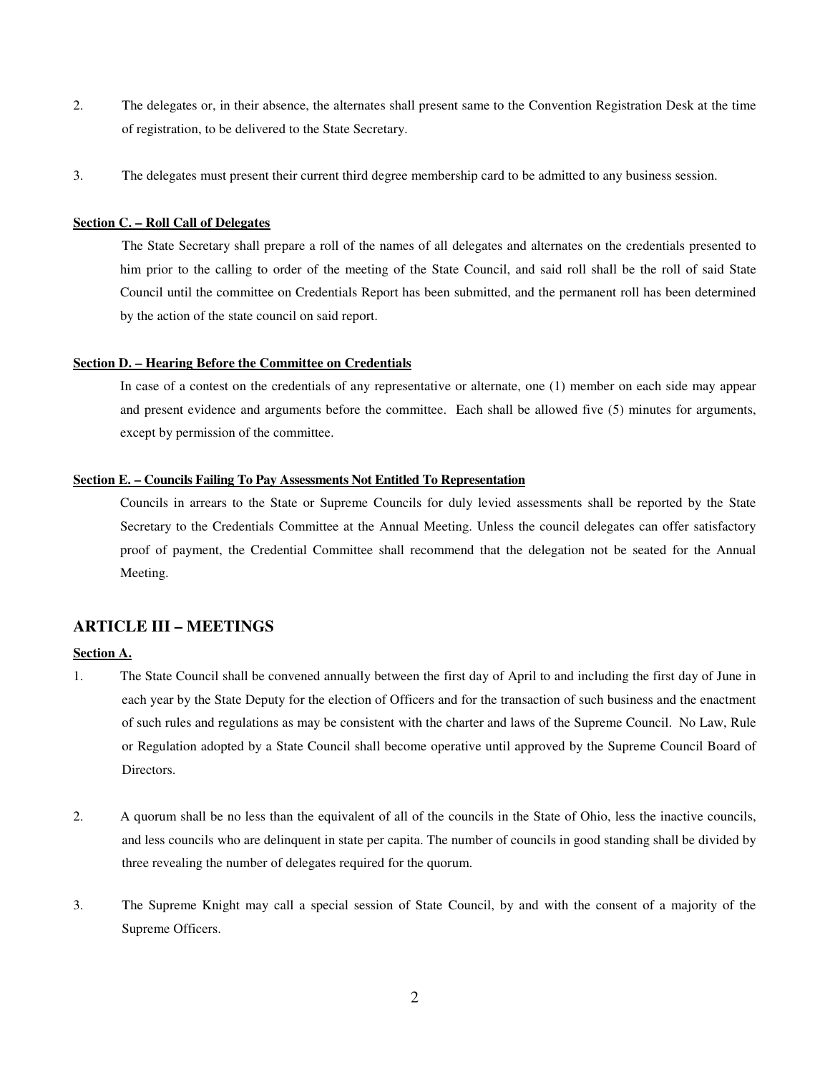- 2. The delegates or, in their absence, the alternates shall present same to the Convention Registration Desk at the time of registration, to be delivered to the State Secretary.
- 3. The delegates must present their current third degree membership card to be admitted to any business session.

## **Section C. – Roll Call of Delegates**

 The State Secretary shall prepare a roll of the names of all delegates and alternates on the credentials presented to him prior to the calling to order of the meeting of the State Council, and said roll shall be the roll of said State Council until the committee on Credentials Report has been submitted, and the permanent roll has been determined by the action of the state council on said report.

#### **Section D. – Hearing Before the Committee on Credentials**

In case of a contest on the credentials of any representative or alternate, one (1) member on each side may appear and present evidence and arguments before the committee. Each shall be allowed five (5) minutes for arguments, except by permission of the committee.

#### **Section E. – Councils Failing To Pay Assessments Not Entitled To Representation**

Councils in arrears to the State or Supreme Councils for duly levied assessments shall be reported by the State Secretary to the Credentials Committee at the Annual Meeting. Unless the council delegates can offer satisfactory proof of payment, the Credential Committee shall recommend that the delegation not be seated for the Annual Meeting.

# **ARTICLE III – MEETINGS**

## **Section A.**

- 1. The State Council shall be convened annually between the first day of April to and including the first day of June in each year by the State Deputy for the election of Officers and for the transaction of such business and the enactment of such rules and regulations as may be consistent with the charter and laws of the Supreme Council. No Law, Rule or Regulation adopted by a State Council shall become operative until approved by the Supreme Council Board of Directors.
- 2. A quorum shall be no less than the equivalent of all of the councils in the State of Ohio, less the inactive councils, and less councils who are delinquent in state per capita. The number of councils in good standing shall be divided by three revealing the number of delegates required for the quorum.
- 3. The Supreme Knight may call a special session of State Council, by and with the consent of a majority of the Supreme Officers.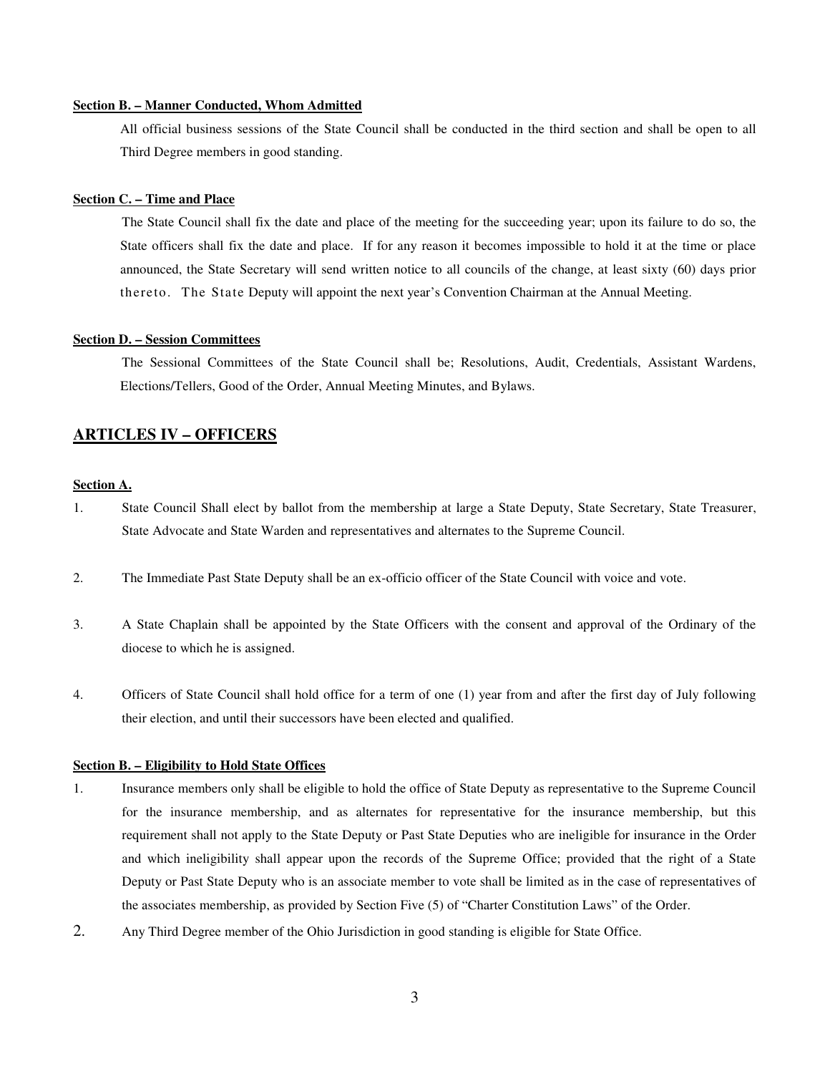## **Section B. – Manner Conducted, Whom Admitted**

All official business sessions of the State Council shall be conducted in the third section and shall be open to all Third Degree members in good standing.

#### **Section C. – Time and Place**

 The State Council shall fix the date and place of the meeting for the succeeding year; upon its failure to do so, the State officers shall fix the date and place. If for any reason it becomes impossible to hold it at the time or place announced, the State Secretary will send written notice to all councils of the change, at least sixty (60) days prior thereto. The State Deputy will appoint the next year's Convention Chairman at the Annual Meeting.

#### **Section D. – Session Committees**

 The Sessional Committees of the State Council shall be; Resolutions, Audit, Credentials, Assistant Wardens, Elections/Tellers, Good of the Order, Annual Meeting Minutes, and Bylaws.

# **ARTICLES IV – OFFICERS**

#### **Section A.**

- 1. State Council Shall elect by ballot from the membership at large a State Deputy, State Secretary, State Treasurer, State Advocate and State Warden and representatives and alternates to the Supreme Council.
- 2. The Immediate Past State Deputy shall be an ex-officio officer of the State Council with voice and vote.
- 3. A State Chaplain shall be appointed by the State Officers with the consent and approval of the Ordinary of the diocese to which he is assigned.
- 4. Officers of State Council shall hold office for a term of one (1) year from and after the first day of July following their election, and until their successors have been elected and qualified.

#### **Section B. – Eligibility to Hold State Offices**

- 1. Insurance members only shall be eligible to hold the office of State Deputy as representative to the Supreme Council for the insurance membership, and as alternates for representative for the insurance membership, but this requirement shall not apply to the State Deputy or Past State Deputies who are ineligible for insurance in the Order and which ineligibility shall appear upon the records of the Supreme Office; provided that the right of a State Deputy or Past State Deputy who is an associate member to vote shall be limited as in the case of representatives of the associates membership, as provided by Section Five (5) of "Charter Constitution Laws" of the Order.
- 2. Any Third Degree member of the Ohio Jurisdiction in good standing is eligible for State Office.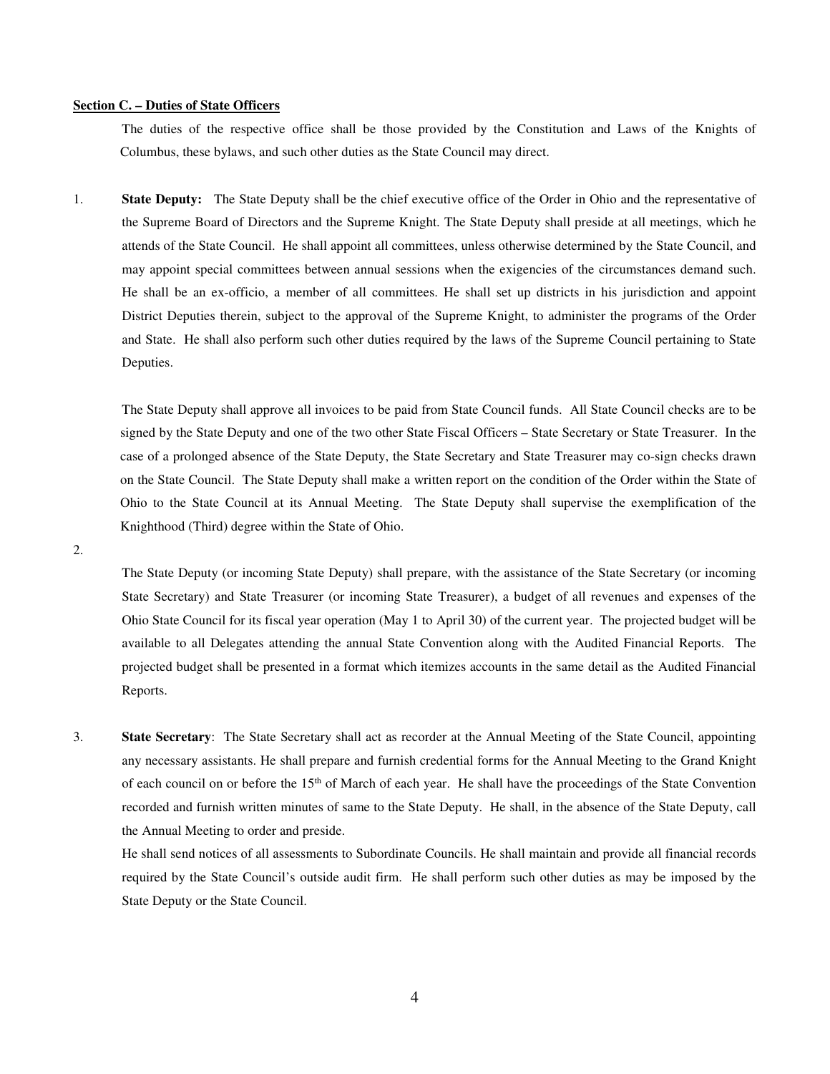## **Section C. – Duties of State Officers**

 The duties of the respective office shall be those provided by the Constitution and Laws of the Knights of Columbus, these bylaws, and such other duties as the State Council may direct.

1. **State Deputy:** The State Deputy shall be the chief executive office of the Order in Ohio and the representative of the Supreme Board of Directors and the Supreme Knight. The State Deputy shall preside at all meetings, which he attends of the State Council. He shall appoint all committees, unless otherwise determined by the State Council, and may appoint special committees between annual sessions when the exigencies of the circumstances demand such. He shall be an ex-officio, a member of all committees. He shall set up districts in his jurisdiction and appoint District Deputies therein, subject to the approval of the Supreme Knight, to administer the programs of the Order and State. He shall also perform such other duties required by the laws of the Supreme Council pertaining to State Deputies.

The State Deputy shall approve all invoices to be paid from State Council funds. All State Council checks are to be signed by the State Deputy and one of the two other State Fiscal Officers – State Secretary or State Treasurer. In the case of a prolonged absence of the State Deputy, the State Secretary and State Treasurer may co-sign checks drawn on the State Council. The State Deputy shall make a written report on the condition of the Order within the State of Ohio to the State Council at its Annual Meeting. The State Deputy shall supervise the exemplification of the Knighthood (Third) degree within the State of Ohio.

2.

The State Deputy (or incoming State Deputy) shall prepare, with the assistance of the State Secretary (or incoming State Secretary) and State Treasurer (or incoming State Treasurer), a budget of all revenues and expenses of the Ohio State Council for its fiscal year operation (May 1 to April 30) of the current year. The projected budget will be available to all Delegates attending the annual State Convention along with the Audited Financial Reports. The projected budget shall be presented in a format which itemizes accounts in the same detail as the Audited Financial Reports.

3. **State Secretary**: The State Secretary shall act as recorder at the Annual Meeting of the State Council, appointing any necessary assistants. He shall prepare and furnish credential forms for the Annual Meeting to the Grand Knight of each council on or before the 15<sup>th</sup> of March of each year. He shall have the proceedings of the State Convention recorded and furnish written minutes of same to the State Deputy. He shall, in the absence of the State Deputy, call the Annual Meeting to order and preside.

He shall send notices of all assessments to Subordinate Councils. He shall maintain and provide all financial records required by the State Council's outside audit firm. He shall perform such other duties as may be imposed by the State Deputy or the State Council.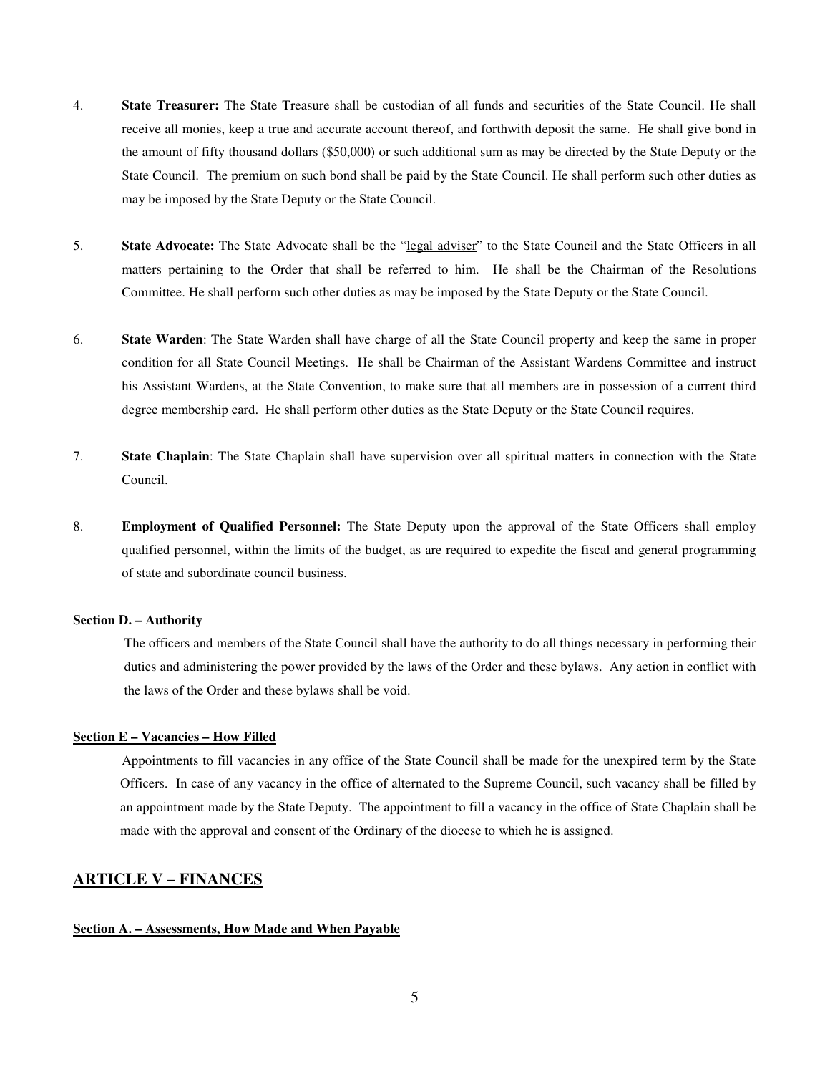- 4. **State Treasurer:** The State Treasure shall be custodian of all funds and securities of the State Council. He shall receive all monies, keep a true and accurate account thereof, and forthwith deposit the same. He shall give bond in the amount of fifty thousand dollars (\$50,000) or such additional sum as may be directed by the State Deputy or the State Council. The premium on such bond shall be paid by the State Council. He shall perform such other duties as may be imposed by the State Deputy or the State Council.
- 5. **State Advocate:** The State Advocate shall be the "legal adviser" to the State Council and the State Officers in all matters pertaining to the Order that shall be referred to him. He shall be the Chairman of the Resolutions Committee. He shall perform such other duties as may be imposed by the State Deputy or the State Council.
- 6. **State Warden**: The State Warden shall have charge of all the State Council property and keep the same in proper condition for all State Council Meetings. He shall be Chairman of the Assistant Wardens Committee and instruct his Assistant Wardens, at the State Convention, to make sure that all members are in possession of a current third degree membership card. He shall perform other duties as the State Deputy or the State Council requires.
- 7. **State Chaplain**: The State Chaplain shall have supervision over all spiritual matters in connection with the State Council.
- 8. **Employment of Qualified Personnel:** The State Deputy upon the approval of the State Officers shall employ qualified personnel, within the limits of the budget, as are required to expedite the fiscal and general programming of state and subordinate council business.

#### **Section D. – Authority**

The officers and members of the State Council shall have the authority to do all things necessary in performing their duties and administering the power provided by the laws of the Order and these bylaws. Any action in conflict with the laws of the Order and these bylaws shall be void.

#### **Section E – Vacancies – How Filled**

 Appointments to fill vacancies in any office of the State Council shall be made for the unexpired term by the State Officers. In case of any vacancy in the office of alternated to the Supreme Council, such vacancy shall be filled by an appointment made by the State Deputy. The appointment to fill a vacancy in the office of State Chaplain shall be made with the approval and consent of the Ordinary of the diocese to which he is assigned.

## **ARTICLE V – FINANCES**

#### **Section A. – Assessments, How Made and When Payable**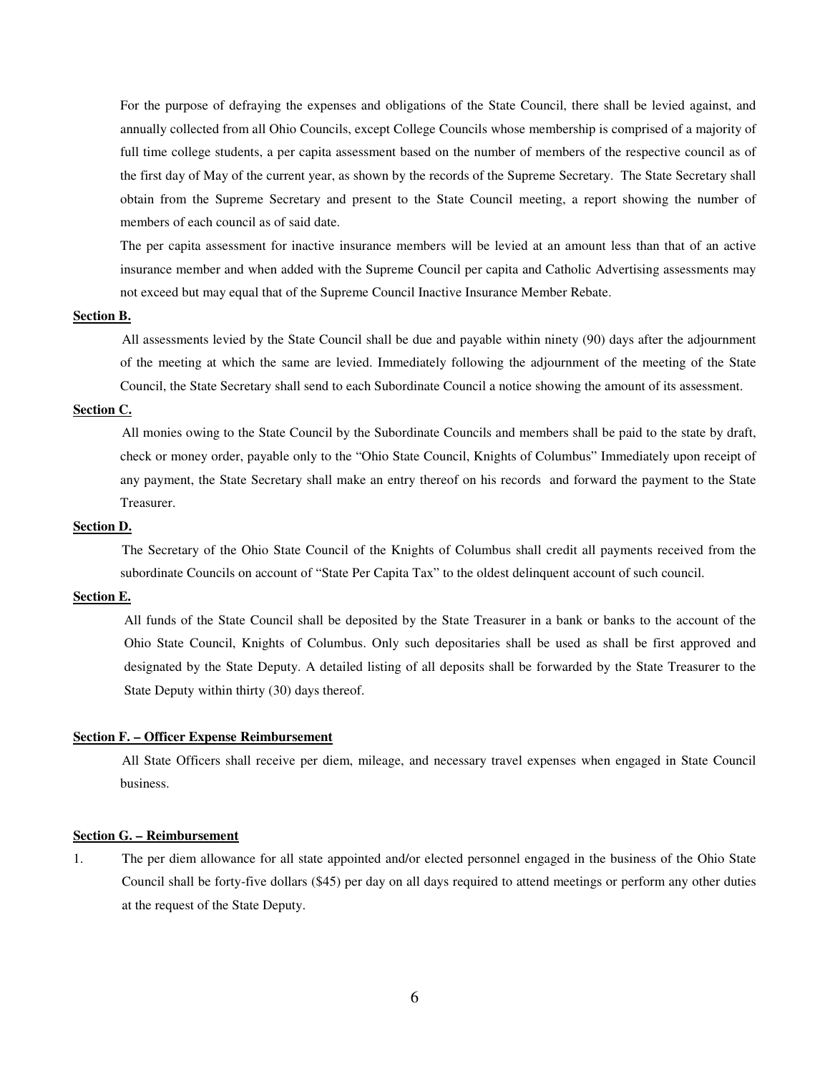For the purpose of defraying the expenses and obligations of the State Council, there shall be levied against, and annually collected from all Ohio Councils, except College Councils whose membership is comprised of a majority of full time college students, a per capita assessment based on the number of members of the respective council as of the first day of May of the current year, as shown by the records of the Supreme Secretary. The State Secretary shall obtain from the Supreme Secretary and present to the State Council meeting, a report showing the number of members of each council as of said date.

The per capita assessment for inactive insurance members will be levied at an amount less than that of an active insurance member and when added with the Supreme Council per capita and Catholic Advertising assessments may not exceed but may equal that of the Supreme Council Inactive Insurance Member Rebate.

#### **Section B.**

 All assessments levied by the State Council shall be due and payable within ninety (90) days after the adjournment of the meeting at which the same are levied. Immediately following the adjournment of the meeting of the State Council, the State Secretary shall send to each Subordinate Council a notice showing the amount of its assessment.

## **Section C.**

 All monies owing to the State Council by the Subordinate Councils and members shall be paid to the state by draft, check or money order, payable only to the "Ohio State Council, Knights of Columbus" Immediately upon receipt of any payment, the State Secretary shall make an entry thereof on his records and forward the payment to the State Treasurer.

#### **Section D.**

 The Secretary of the Ohio State Council of the Knights of Columbus shall credit all payments received from the subordinate Councils on account of "State Per Capita Tax" to the oldest delinquent account of such council.

#### **Section E.**

All funds of the State Council shall be deposited by the State Treasurer in a bank or banks to the account of the Ohio State Council, Knights of Columbus. Only such depositaries shall be used as shall be first approved and designated by the State Deputy. A detailed listing of all deposits shall be forwarded by the State Treasurer to the State Deputy within thirty (30) days thereof.

#### **Section F. – Officer Expense Reimbursement**

 All State Officers shall receive per diem, mileage, and necessary travel expenses when engaged in State Council business.

## **Section G. – Reimbursement**

1. The per diem allowance for all state appointed and/or elected personnel engaged in the business of the Ohio State Council shall be forty-five dollars (\$45) per day on all days required to attend meetings or perform any other duties at the request of the State Deputy.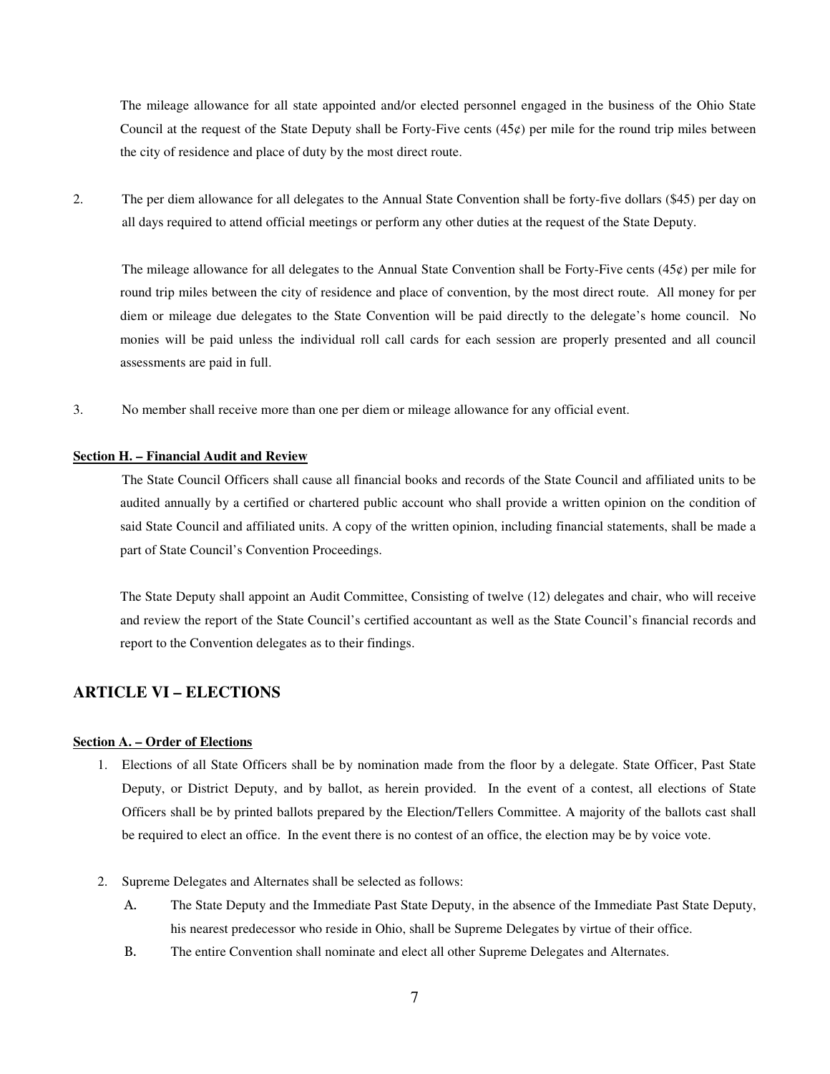The mileage allowance for all state appointed and/or elected personnel engaged in the business of the Ohio State Council at the request of the State Deputy shall be Forty-Five cents  $(45¢)$  per mile for the round trip miles between the city of residence and place of duty by the most direct route.

2. The per diem allowance for all delegates to the Annual State Convention shall be forty-five dollars (\$45) per day on all days required to attend official meetings or perform any other duties at the request of the State Deputy.

The mileage allowance for all delegates to the Annual State Convention shall be Forty-Five cents  $(45¢)$  per mile for round trip miles between the city of residence and place of convention, by the most direct route. All money for per diem or mileage due delegates to the State Convention will be paid directly to the delegate's home council. No monies will be paid unless the individual roll call cards for each session are properly presented and all council assessments are paid in full.

3. No member shall receive more than one per diem or mileage allowance for any official event.

#### **Section H. – Financial Audit and Review**

The State Council Officers shall cause all financial books and records of the State Council and affiliated units to be audited annually by a certified or chartered public account who shall provide a written opinion on the condition of said State Council and affiliated units. A copy of the written opinion, including financial statements, shall be made a part of State Council's Convention Proceedings.

The State Deputy shall appoint an Audit Committee, Consisting of twelve (12) delegates and chair, who will receive and review the report of the State Council's certified accountant as well as the State Council's financial records and report to the Convention delegates as to their findings.

# **ARTICLE VI – ELECTIONS**

## **Section A. – Order of Elections**

- 1. Elections of all State Officers shall be by nomination made from the floor by a delegate. State Officer, Past State Deputy, or District Deputy, and by ballot, as herein provided. In the event of a contest, all elections of State Officers shall be by printed ballots prepared by the Election/Tellers Committee. A majority of the ballots cast shall be required to elect an office. In the event there is no contest of an office, the election may be by voice vote.
- 2. Supreme Delegates and Alternates shall be selected as follows:
	- A. The State Deputy and the Immediate Past State Deputy, in the absence of the Immediate Past State Deputy, his nearest predecessor who reside in Ohio, shall be Supreme Delegates by virtue of their office.
	- B. The entire Convention shall nominate and elect all other Supreme Delegates and Alternates.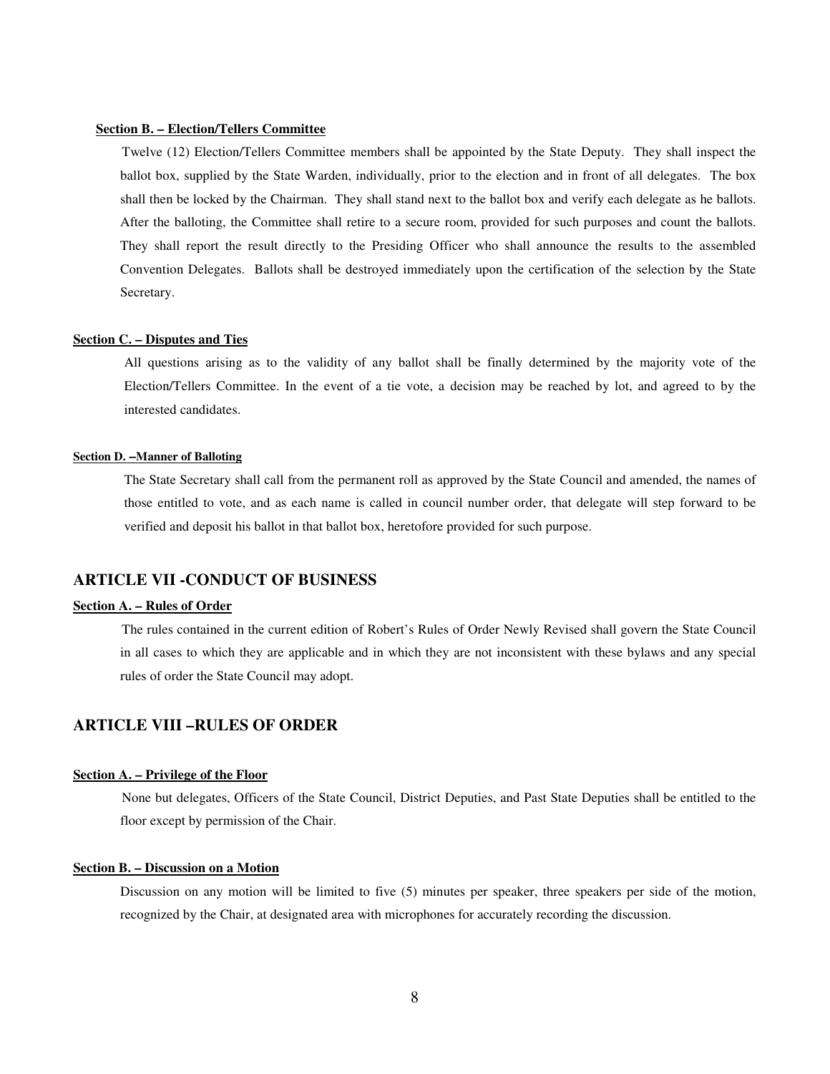#### **Section B. – Election/Tellers Committee**

 Twelve (12) Election/Tellers Committee members shall be appointed by the State Deputy. They shall inspect the ballot box, supplied by the State Warden, individually, prior to the election and in front of all delegates. The box shall then be locked by the Chairman. They shall stand next to the ballot box and verify each delegate as he ballots. After the balloting, the Committee shall retire to a secure room, provided for such purposes and count the ballots. They shall report the result directly to the Presiding Officer who shall announce the results to the assembled Convention Delegates. Ballots shall be destroyed immediately upon the certification of the selection by the State Secretary.

#### **Section C. – Disputes and Ties**

All questions arising as to the validity of any ballot shall be finally determined by the majority vote of the Election/Tellers Committee. In the event of a tie vote, a decision may be reached by lot, and agreed to by the interested candidates.

#### **Section D. –Manner of Balloting**

The State Secretary shall call from the permanent roll as approved by the State Council and amended, the names of those entitled to vote, and as each name is called in council number order, that delegate will step forward to be verified and deposit his ballot in that ballot box, heretofore provided for such purpose.

## **ARTICLE VII -CONDUCT OF BUSINESS**

## **Section A. – Rules of Order**

 The rules contained in the current edition of Robert's Rules of Order Newly Revised shall govern the State Council in all cases to which they are applicable and in which they are not inconsistent with these bylaws and any special rules of order the State Council may adopt.

## **ARTICLE VIII –RULES OF ORDER**

## **Section A. – Privilege of the Floor**

 None but delegates, Officers of the State Council, District Deputies, and Past State Deputies shall be entitled to the floor except by permission of the Chair.

## **Section B. – Discussion on a Motion**

Discussion on any motion will be limited to five (5) minutes per speaker, three speakers per side of the motion, recognized by the Chair, at designated area with microphones for accurately recording the discussion.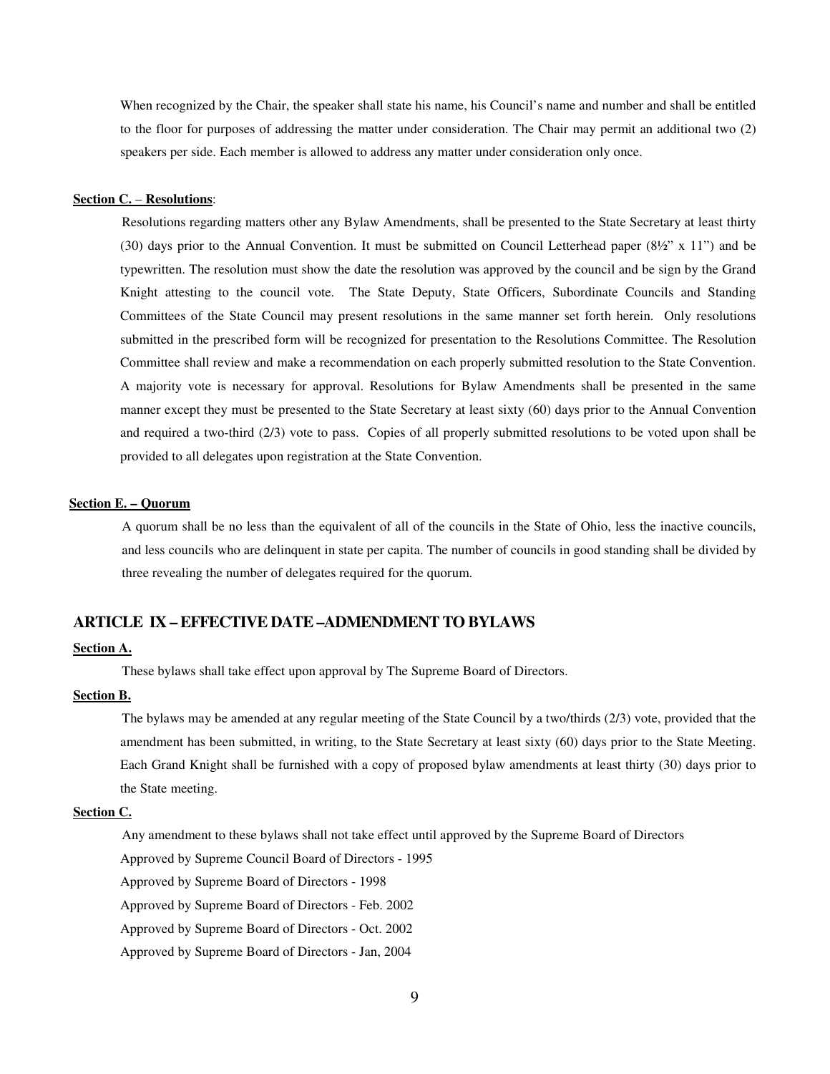When recognized by the Chair, the speaker shall state his name, his Council's name and number and shall be entitled to the floor for purposes of addressing the matter under consideration. The Chair may permit an additional two (2) speakers per side. Each member is allowed to address any matter under consideration only once.

#### **Section C.** – **Resolutions**:

 Resolutions regarding matters other any Bylaw Amendments, shall be presented to the State Secretary at least thirty (30) days prior to the Annual Convention. It must be submitted on Council Letterhead paper (8½" x 11") and be typewritten. The resolution must show the date the resolution was approved by the council and be sign by the Grand Knight attesting to the council vote. The State Deputy, State Officers, Subordinate Councils and Standing Committees of the State Council may present resolutions in the same manner set forth herein. Only resolutions submitted in the prescribed form will be recognized for presentation to the Resolutions Committee. The Resolution Committee shall review and make a recommendation on each properly submitted resolution to the State Convention. A majority vote is necessary for approval. Resolutions for Bylaw Amendments shall be presented in the same manner except they must be presented to the State Secretary at least sixty (60) days prior to the Annual Convention and required a two-third (2/3) vote to pass. Copies of all properly submitted resolutions to be voted upon shall be provided to all delegates upon registration at the State Convention.

#### **Section E. – Quorum**

A quorum shall be no less than the equivalent of all of the councils in the State of Ohio, less the inactive councils, and less councils who are delinquent in state per capita. The number of councils in good standing shall be divided by three revealing the number of delegates required for the quorum.

# **ARTICLE IX – EFFECTIVE DATE –ADMENDMENT TO BYLAWS**

## **Section A.**

These bylaws shall take effect upon approval by The Supreme Board of Directors.

## **Section B.**

 The bylaws may be amended at any regular meeting of the State Council by a two/thirds (2/3) vote, provided that the amendment has been submitted, in writing, to the State Secretary at least sixty (60) days prior to the State Meeting. Each Grand Knight shall be furnished with a copy of proposed bylaw amendments at least thirty (30) days prior to the State meeting.

#### **Section C.**

Any amendment to these bylaws shall not take effect until approved by the Supreme Board of Directors

Approved by Supreme Council Board of Directors - 1995

Approved by Supreme Board of Directors - 1998

Approved by Supreme Board of Directors - Feb. 2002

Approved by Supreme Board of Directors - Oct. 2002

Approved by Supreme Board of Directors - Jan, 2004